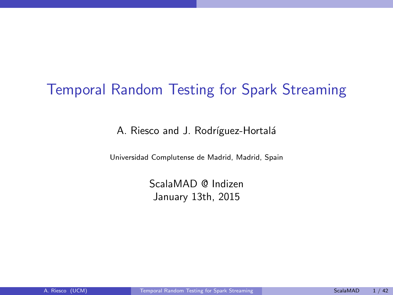#### Temporal Random Testing for Spark Streaming

A. Riesco and J. Rodríguez-Hortalá

Universidad Complutense de Madrid, Madrid, Spain

<span id="page-0-0"></span>ScalaMAD @ Indizen January 13th, 2015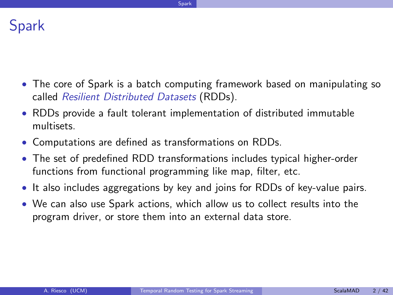

- The core of Spark is a batch computing framework based on manipulating so called Resilient Distributed Datasets (RDDs).
- RDDs provide a fault tolerant implementation of distributed immutable multisets.
- Computations are defined as transformations on RDDs.
- The set of predefined RDD transformations includes typical higher-order functions from functional programming like map, filter, etc.
- It also includes aggregations by key and joins for RDDs of key-value pairs.
- <span id="page-1-0"></span>• We can also use Spark actions, which allow us to collect results into the program driver, or store them into an external data store.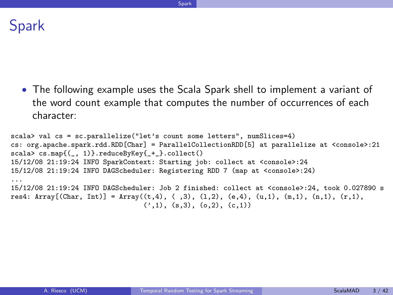Spark

• The following example uses the Scala Spark shell to implement a variant of the word count example that computes the number of occurrences of each character:

<span id="page-2-0"></span>[Spark](#page-2-0)

```
scala> val cs = sc.parallelize("let's count some letters", numSlices=4)
cs: org.apache.spark.rdd.RDD[Char] = ParallelCollectionRDD[5] at parallelize at <console>:21
scala> cs.map{(_, 1)}.reduceByKey{_+_}.collect()
15/12/08 21:19:24 INFO SparkContext: Starting job: collect at <console>:24
15/12/08 21:19:24 INFO DAGScheduler: Registering RDD 7 (map at <console>:24)
...
15/12/08 21:19:24 INFO DAGScheduler: Job 2 finished: collect at <console>:24, took 0.027890 s
res4: Array[(Char, Int)] = Array((t,4), (,3), (1,2), (e,4), (u,1), (m,1), (n,1), (r,1),
                                 (2,1), (s,3), (0,2), (c,1)
```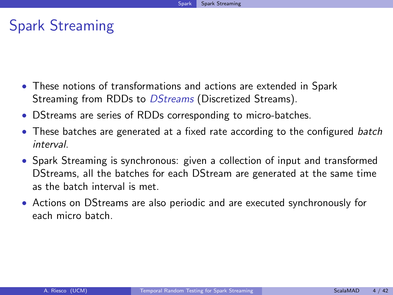#### Spark Streaming

- These notions of transformations and actions are extended in Spark Streaming from RDDs to *DStreams* (Discretized Streams).
- DStreams are series of RDDs corresponding to micro-batches.
- These batches are generated at a fixed rate according to the configured batch interval.
- Spark Streaming is synchronous: given a collection of input and transformed DStreams, all the batches for each DStream are generated at the same time as the batch interval is met.
- <span id="page-3-0"></span>• Actions on DStreams are also periodic and are executed synchronously for each micro batch.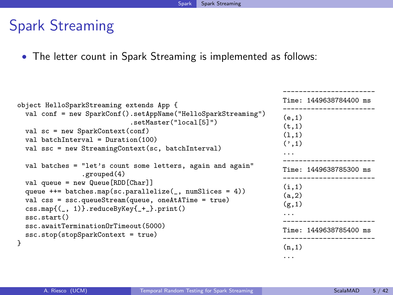#### Spark Streaming

• The letter count in Spark Streaming is implemented as follows:

```
object HelloSparkStreaming extends App {
 val conf = new SparkConf().setAppName("HelloSparkStreaming")
                             .setMaster("local[5]")
 val sc = new SparkContext(conf)
 val batchInterval = Duration(100)
 val ssc = new StreamingContext(sc, batchInterval)
 val batches = "let's count some letters, again and again"
                .grouped(4)
 val queue = new Queue[RDD[Char]]
 queue ++= batches.map(sc.parallelize(, numSlices = 4))
 val css = ssc.queueStream(queue, oneAtATime = true)
 css.map{(_, 1)}.reduceByKey{_+_}.print()
  ssc.start()
 ssc.awaitTerminationOrTimeout(5000)
 ssc.stop(stopSparkContext = true)
}
                                                                    Time: 1449638784400 ms
                                                                    -----------------------
                                                                    (e,1)
                                                                    (t, 1)(1,1)(7,1)...
                                                                        -----------------------
                                                                    Time: 1449638785300 ms
                                                                    -----------------------
                                                                    (i,1)
                                                                    (a,2)
                                                                    (g,1)...
                                                                     -----------------------
                                                                    Time: 1449638785400 ms
                                                                    -----------------------
                                                                    (n,1)
```
-----------------------

<span id="page-4-0"></span>...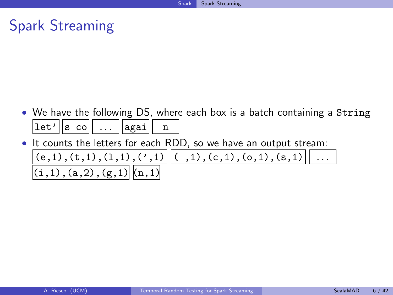#### Spark Streaming

- We have the following DS, where each box is a batch containing a String  $|\text{let'}||\text{s col}|| \dots ||\text{again}||$  n
- <span id="page-5-0"></span>• It counts the letters for each RDD, so we have an output stream:  $(e,1), (t,1), (1,1), (7,1)$   $||(0,1), (c,1), (0,1), (s,1)$  $(i,1),(a,2),(g,1)$   $(n,1)$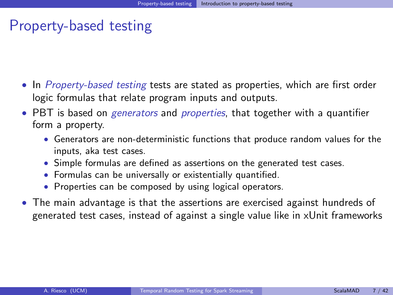#### Property-based testing

- In *Property-based testing* tests are stated as properties, which are first order logic formulas that relate program inputs and outputs.
- PBT is based on *generators* and *properties*, that together with a quantifier form a property.
	- Generators are non-deterministic functions that produce random values for the inputs, aka test cases.
	- Simple formulas are defined as assertions on the generated test cases.
	- Formulas can be universally or existentially quantified.
	- Properties can be composed by using logical operators.
- <span id="page-6-0"></span>• The main advantage is that the assertions are exercised against hundreds of generated test cases, instead of against a single value like in xUnit frameworks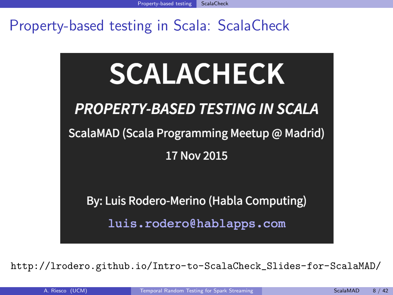# **SCALACHECK PROPERTY-BASED TESTING IN SCALA** ScalaMAD (Scala Programming Meetup @ Madrid) 17 Nov 2015

By: Luis Rodero-Merino (Habla Computing)

<span id="page-7-0"></span>luis.rodero@hablapps.com

[http://lrodero.github.io/Intro-to-ScalaCheck\\_Slides-for-ScalaMAD/](http://lrodero.github.io/Intro-to-ScalaCheck_Slides-for-ScalaMAD/)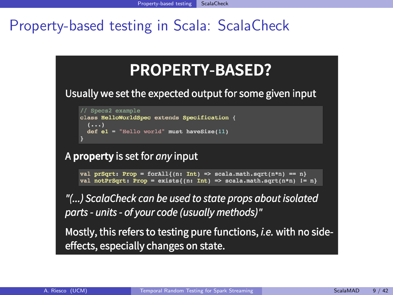## **PROPERTY-BASED?**

Usually we set the expected output for some given input

```
// Specs2 example
class HelloWorldSpec extends Specification {
  (\ldots)def e1 = "Hello world" must haveSize(11)
```
A property is set for *any* input

```
val prSqrt: Prop = forAll{(n: Int) => scala.math.sqrt(n*n) == n}
val notPrSqrt: Prop = exists{(n: Int) => scala.math.sqrt(n*n) != n}
```
"(...) ScalaCheck can be used to state props about isolated parts - units - of your code (usually methods)"

<span id="page-8-0"></span>Mostly, this refers to testing pure functions, *i.e.* with no sideeffects, especially changes on state.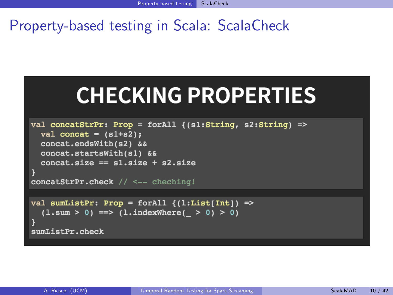# **CHECKING PROPERTIES**

```
val concatStrPr: Prop = forAll {(s1:String, s2:String) =>
  val concat = (s1+s2);
  concat.endsWith(s2) &&
  concat.startsWith(s1) &&
  concat.size == s1.size + s2.sizeconcatStrPr.check // <-- cheching!
val sumListPr: Prop = forAll (1:List[Int]) =>
```

```
(1.sum > 0) == > (1.indexWhere( > 0) > 0)
```
<span id="page-9-0"></span>sumListPr.check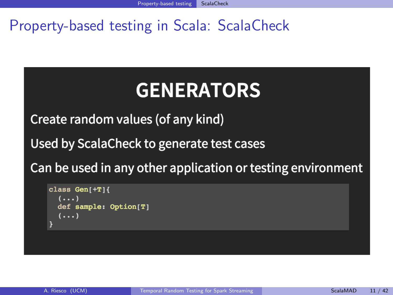# <span id="page-10-0"></span>**GENERATORS**

Create random values (of any kind)

Used by ScalaCheck to generate test cases

Can be used in any other application or testing environment

```
class Gen[+T]{
  (...)def sample: Option[T]
  (\ldots)
```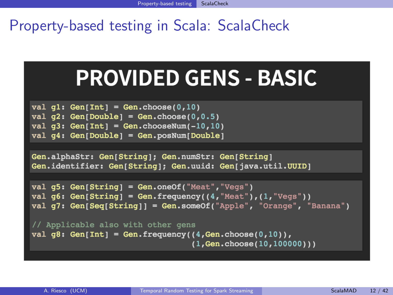<span id="page-11-0"></span>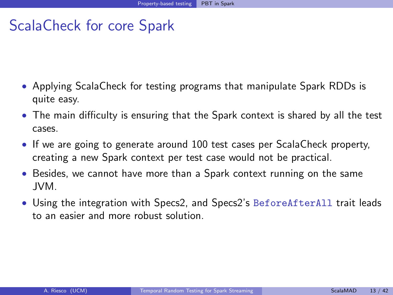- Applying ScalaCheck for testing programs that manipulate Spark RDDs is quite easy.
- The main difficulty is ensuring that the Spark context is shared by all the test cases.
- If we are going to generate around 100 test cases per ScalaCheck property, creating a new Spark context per test case would not be practical.
- Besides, we cannot have more than a Spark context running on the same JVM.
- <span id="page-12-0"></span>• Using the integration with Specs2, and Specs2's BeforeAfterAll trait leads to an easier and more robust solution.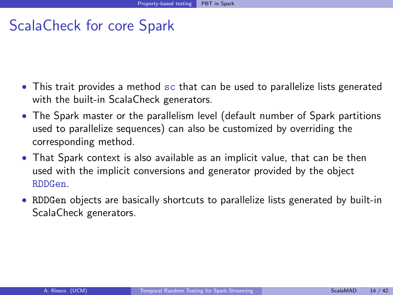- This trait provides a method sc that can be used to parallelize lists generated with the built-in ScalaCheck generators.
- The Spark master or the parallelism level (default number of Spark partitions used to parallelize sequences) can also be customized by overriding the corresponding method.
- That Spark context is also available as an implicit value, that can be then used with the implicit conversions and generator provided by the object RDDGen.
- <span id="page-13-0"></span>• RDDGen objects are basically shortcuts to parallelize lists generated by built-in ScalaCheck generators.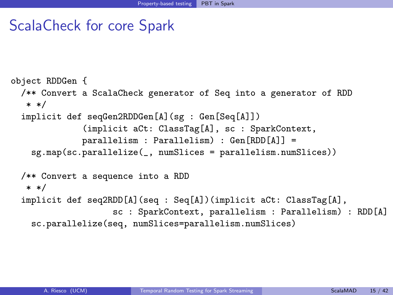```
object RDDGen {
  /** Convert a ScalaCheck generator of Seq into a generator of RDD
   * */
  implicit def seqGen2RDDGen[A](sg : Gen[Seq[A]])
              (implicit aCt: ClassTag[A], sc : SparkContext,
              parallelism : Parallelism) : Gen[RDD[A]] =
    sg.map(sc.parallelize(_, numSlices = parallelism.numSlices))
  /** Convert a sequence into a RDD
   * */
 implicit def seq2RDD[A](seq : Seq[A])(implicit aCt: ClassTag[A],
                    sc : SparkContext, parallelism : Parallelism) : RDD[A]
    sc.parallelize(seq, numSlices=parallelism.numSlices)
```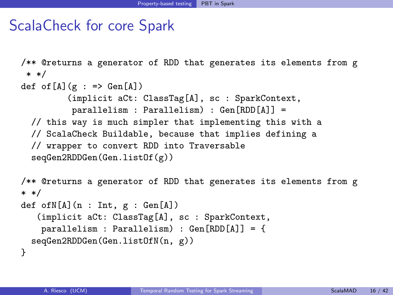```
/** @returns a generator of RDD that generates its elements from g
 * */
def of [A](g : => Gen[A])(implicit aCt: ClassTag[A], sc : SparkContext,
          parallelism : Parallelism) : Gen[RDD[A]] =
  // this way is much simpler that implementing this with a
  // ScalaCheck Buildable, because that implies defining a
  // wrapper to convert RDD into Traversable
  seqGen2RDDGen(Gen.listOf(g))
/** @returns a generator of RDD that generates its elements from g
* */
def ofN[A](n : Int, g : Gen[A])(implicit aCt: ClassTag[A], sc : SparkContext,
    parallelism : Parallelism) : Gen[RDD[A]] = {
  seqGen2RDDGen(Gen.listOfN(n, g))
}
```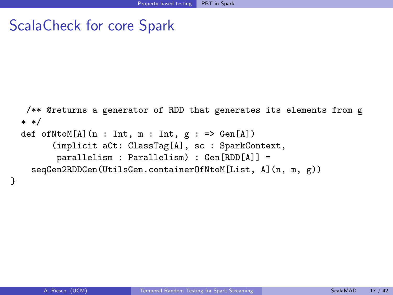```
ScalaCheck for core Spark
```

```
/** @returns a generator of RDD that generates its elements from g
* */
def ofNtoM[A](n : Int, m : Int, g : => Gen[A])
      (implicit aCt: ClassTag[A], sc : SparkContext,
       parallelism : Parallelism) : Gen[RDD[A]] =
  seqGen2RDDGen(UtilsGen.containerOfNtoM[List, A](n, m, g))
```
}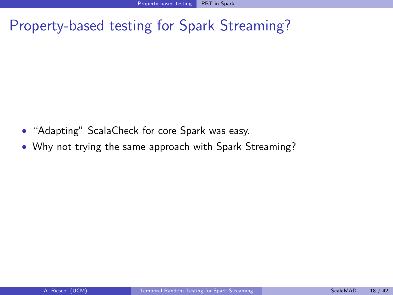- "Adapting" ScalaCheck for core Spark was easy.
- <span id="page-17-0"></span>• Why not trying the same approach with Spark Streaming?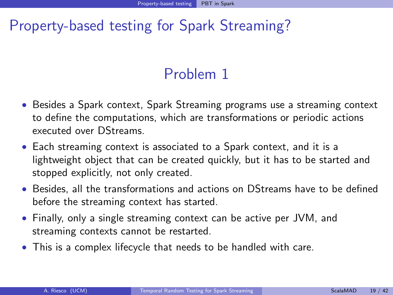### <span id="page-18-0"></span>Problem 1

- Besides a Spark context, Spark Streaming programs use a streaming context to define the computations, which are transformations or periodic actions executed over DStreams.
- Each streaming context is associated to a Spark context, and it is a lightweight object that can be created quickly, but it has to be started and stopped explicitly, not only created.
- Besides, all the transformations and actions on DStreams have to be defined before the streaming context has started.
- Finally, only a single streaming context can be active per JVM, and streaming contexts cannot be restarted.
- This is a complex lifecycle that needs to be handled with care.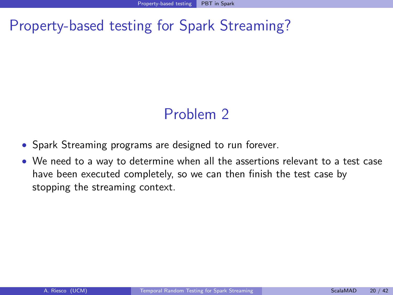#### <span id="page-19-0"></span>Problem 2

- Spark Streaming programs are designed to run forever.
- We need to a way to determine when all the assertions relevant to a test case have been executed completely, so we can then finish the test case by stopping the streaming context.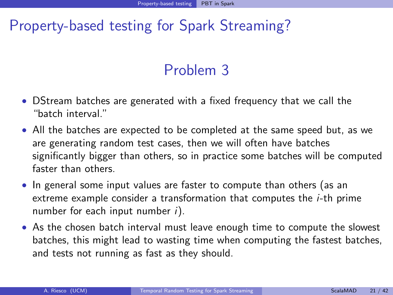#### <span id="page-20-0"></span>Problem 3

- DStream batches are generated with a fixed frequency that we call the "batch interval."
- All the batches are expected to be completed at the same speed but, as we are generating random test cases, then we will often have batches significantly bigger than others, so in practice some batches will be computed faster than others.
- In general some input values are faster to compute than others (as an extreme example consider a transformation that computes the i-th prime number for each input number  $i$ ).
- As the chosen batch interval must leave enough time to compute the slowest batches, this might lead to wasting time when computing the fastest batches, and tests not running as fast as they should.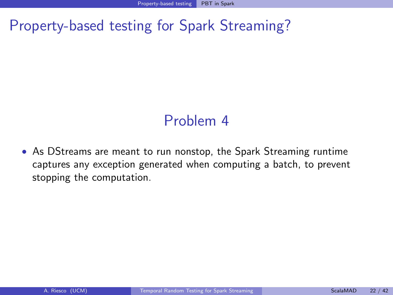#### <span id="page-21-0"></span>Problem 4

• As DStreams are meant to run nonstop, the Spark Streaming runtime captures any exception generated when computing a batch, to prevent stopping the computation.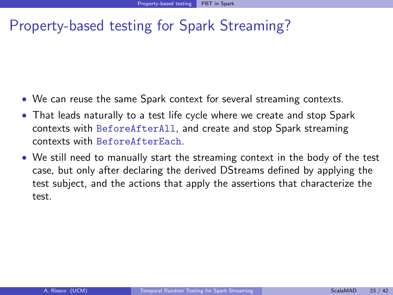- We can reuse the same Spark context for several streaming contexts.
- That leads naturally to a test life cycle where we create and stop Spark contexts with BeforeAfterAll, and create and stop Spark streaming contexts with BeforeAfterEach.
- <span id="page-22-0"></span>• We still need to manually start the streaming context in the body of the test case, but only after declaring the derived DStreams defined by applying the test subject, and the actions that apply the assertions that characterize the test.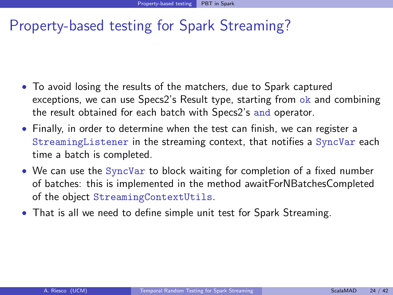- To avoid losing the results of the matchers, due to Spark captured exceptions, we can use Specs2's Result type, starting from ok and combining the result obtained for each batch with Specs2's and operator.
- Finally, in order to determine when the test can finish, we can register a StreamingListener in the streaming context, that notifies a SyncVar each time a batch is completed.
- We can use the SyncVar to block waiting for completion of a fixed number of batches: this is implemented in the method awaitForNBatchesCompleted of the object StreamingContextUtils.
- <span id="page-23-0"></span>• That is all we need to define simple unit test for Spark Streaming.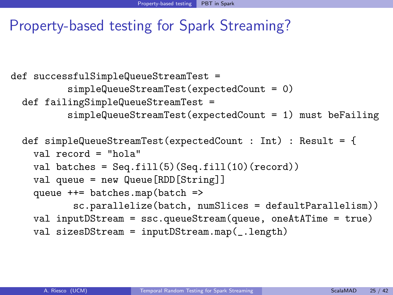```
def successfulSimpleQueueStreamTest =
          simpleQueueStreamTest(expectedCount = 0)
 def failingSimpleQueueStreamTest =
          simpleQueueStreamTest(expectedCount = 1) must beFailing
  def simpleQueueStreamTest(expectedCount : Int) : Result = {
   val record = "hola"
   val batches = Seq.fit1(5)(Seq.fit1(10)(record))val queue = new Queue[RDD[String]]
   queue ++= batches.map(batch =>
           sc.parallelize(batch, numSlices = defaultParallelism))
   val inputDStream = ssc.queueStream(queue, oneAtATime = true)
   val sizesDStream = inputDStream.map(_.length)
```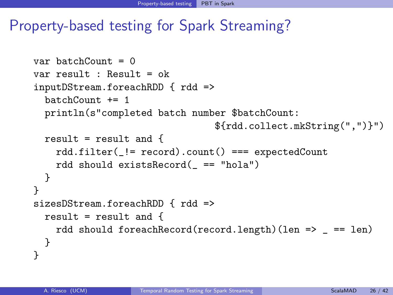```
var batchCount = 0var result : Result = ok
inputDStream.foreachRDD { rdd =>
  batchCount += 1println(s"completed batch number $batchCount:
                                ${rdd.collect.mkString(",")}")
  result = result and \{rdd.filter(_!= record).count() === expectedCount
    rdd should existsRecord(_ == "hola")
  }
}
sizesDStream.foreachRDD { rdd =>
  result = result and {
    rdd should foreachRecord(record.length)(len => _ == len)
  }
}
```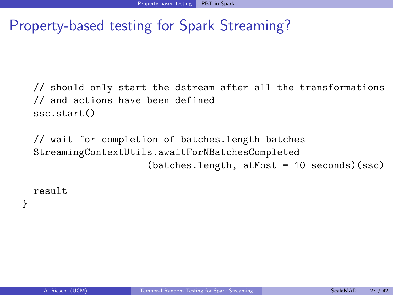// should only start the dstream after all the transformations // and actions have been defined ssc.start()

// wait for completion of batches.length batches StreamingContextUtils.awaitForNBatchesCompleted (batches.length, atMost = 10 seconds)(ssc)

<span id="page-26-0"></span>result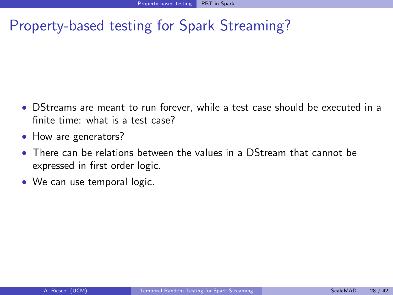- DStreams are meant to run forever, while a test case should be executed in a finite time: what is a test case?
- How are generators?
- There can be relations between the values in a DStream that cannot be expressed in first order logic.
- <span id="page-27-0"></span>• We can use temporal logic.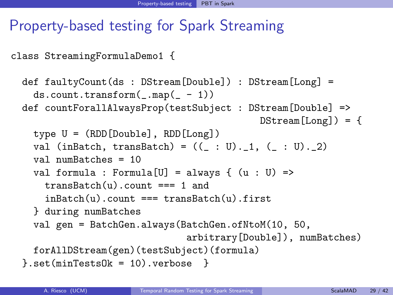class StreamingFormulaDemo1 {

```
def faultyCount(ds : DStream[Double]) : DStream[Long] =
  ds.count.trainsform(\_.\text{map}(\_ -1))def countForallAlwaysProp(testSubject : DStream[Double] =>
                                           DStream[Long]) = \{type U = (RDD[Double], RDD[Long])val (inBatch, transBatch) = ((\_ : U)._1, ( . : U)._2)val numBatches = 10
  val formula : Formula[U] = always { (u : U) =>
    transBatch(u).count === 1 and
    inBatch(u).count === transBatch(u).first
  } during numBatches
  val gen = BatchGen.always(BatchGen.ofNtoM(10, 50,
                              arbitrary[Double]), numBatches)
  forAllDStream(gen)(testSubject)(formula)
}.set(minTestsOk = 10).verbose <math>
```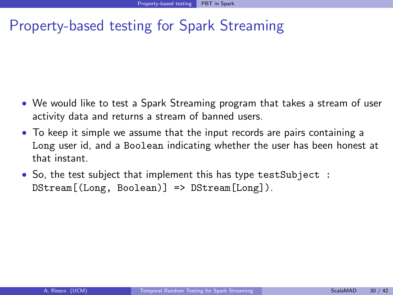- We would like to test a Spark Streaming program that takes a stream of user activity data and returns a stream of banned users.
- To keep it simple we assume that the input records are pairs containing a Long user id, and a Boolean indicating whether the user has been honest at that instant.
- <span id="page-29-0"></span>• So, the test subject that implement this has type testSubject : DStream[(Long, Boolean)] => DStream[Long]).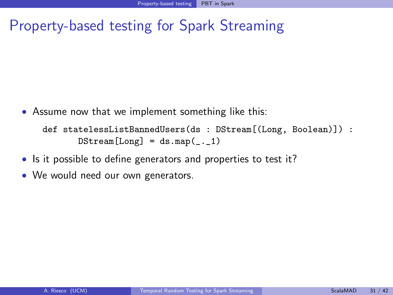• Assume now that we implement something like this:

```
def statelessListBannedUsers(ds : DStream[(Long, Boolean)]) :
       DStream[Long] = dsmap(...1)
```
- Is it possible to define generators and properties to test it?
- We would need our own generators.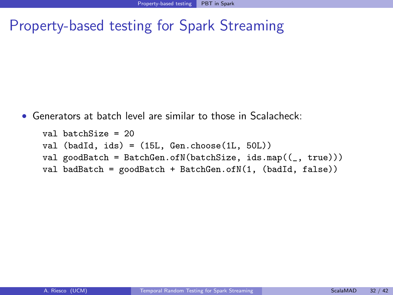• Generators at batch level are similar to those in Scalacheck:

```
val batchSize = 20
val (badId, ids) = (15L, Gen.choose(1L, 50L))
val goodBatch = BatchGen.ofN(batchSize, ids.map((, true)))val badBatch = goodBatch + BatchGen.ofN(1, (badId, false))
```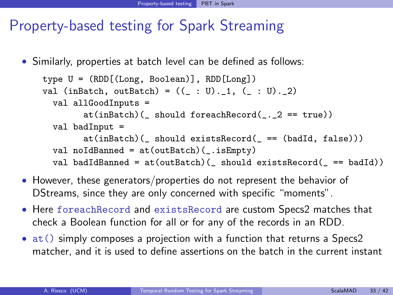• Similarly, properties at batch level can be defined as follows:

```
type U = (RDD[(Long, Boolean)], RDD[Long])
val (inBatch, outBatch) = ((\_ : U)._1, (\_ : U)._2)val allGoodInputs =
        at(inBatch) ( should foreachRecord(1, 2 == true)
  val badInput =
        at(inBatch) ( should existsRecord( == (badId, false)))
  val noIdBanned = at(outBatch)(_.isEmpty)
  val badIdBanned = at(outBatch)( should existsRecord( == badId))
```
- However, these generators/properties do not represent the behavior of DStreams, since they are only concerned with specific "moments".
- Here foreachRecord and existsRecord are custom Specs2 matches that check a Boolean function for all or for any of the records in an RDD.
- <span id="page-32-0"></span>• at() simply composes a projection with a function that returns a Specs2 matcher, and it is used to define assertions on the batch in the current instant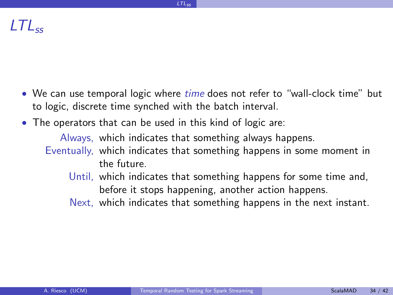- We can use temporal logic where *time* does not refer to "wall-clock time" but to logic, discrete time synched with the batch interval.
- <span id="page-33-0"></span>• The operators that can be used in this kind of logic are:
	- Always, which indicates that something always happens.
	- Eventually, which indicates that something happens in some moment in the future.
		- Until, which indicates that something happens for some time and, before it stops happening, another action happens.
		- Next, which indicates that something happens in the next instant.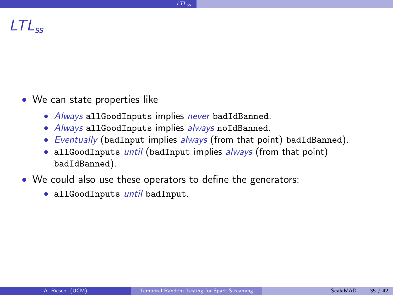- We can state properties like
	- Always allGoodInputs implies never badIdBanned.
	- Always allGoodInputs implies always noIdBanned.
	- Eventually (badInput implies always (from that point) badIdBanned).
	- allGoodInputs *until* (badInput implies *always* (from that point) badIdBanned).
- <span id="page-34-0"></span>• We could also use these operators to define the generators:
	- allGoodInputs until badInput.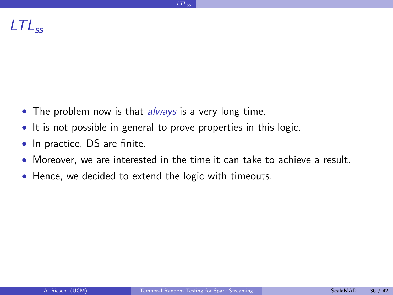- The problem now is that *always* is a very long time.
- It is not possible in general to prove properties in this logic.
- In practice, DS are finite.
- Moreover, we are interested in the time it can take to achieve a result.
- <span id="page-35-0"></span>• Hence, we decided to extend the logic with timeouts.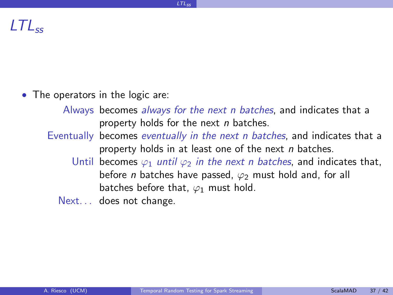- <span id="page-36-0"></span>• The operators in the logic are:
	- Always becomes always for the next n batches, and indicates that a property holds for the next  $n$  batches.
	- Eventually becomes *eventually in the next n batches*, and indicates that a property holds in at least one of the next n batches.
		- Until becomes  $\varphi_1$  until  $\varphi_2$  in the next n batches, and indicates that, before *n* batches have passed,  $\varphi_2$  must hold and, for all batches before that,  $\varphi_1$  must hold.
		- Next... does not change.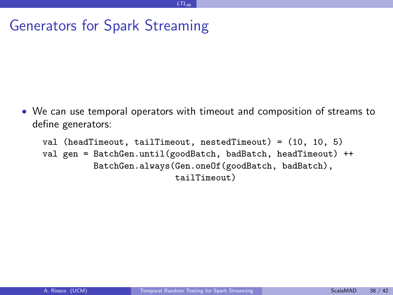#### Generators for Spark Streaming

• We can use temporal operators with timeout and composition of streams to define generators:

```
val (headTimeout, tailTimeout, nestedTimeout) = (10, 10, 5)
val gen = BatchGen.until(goodBatch, badBatch, headTimeout) ++
          BatchGen.always(Gen.oneOf(goodBatch, badBatch),
                          tailTimeout)
```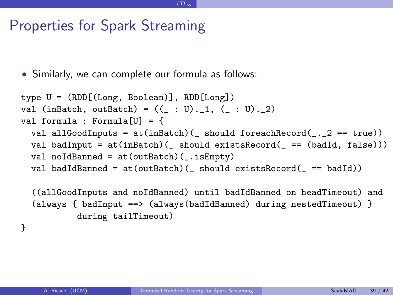#### Properties for Spark Streaming

• Similarly, we can complete our formula as follows:

```
type U = (RDD[(Long, Boolean)], RDD[Long])
val (inBatch, outBatch) = ((\_ : U)._1, (\_ : U)._2)val formula : Formula[U] = {
 val allGoodInputs = at(inBatch)( should foreachRecord(\ldots2 == true))
 val badInput = at(inBatch)( should existsRecord( == (badId, false)))
 val noIdBanned = at(outBatch)(.isEmpty)
 val badIdBanned = at(outBatch)( should existsRecord( == badId))
  ((allGoodInputs and noIdBanned) until badIdBanned on headTimeout) and
  (always { badInput ==> (always(badIdBanned) during nestedTimeout) }
          during tailTimeout)
```
<span id="page-38-0"></span>[LTLss](#page-38-0)

}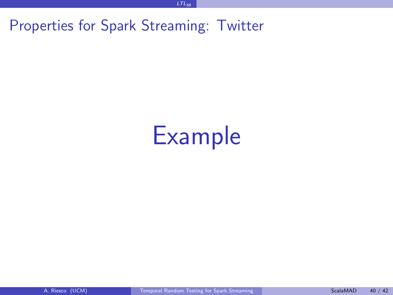Properties for Spark Streaming: Twitter

# <span id="page-39-0"></span>Example

[LTLss](#page-39-0)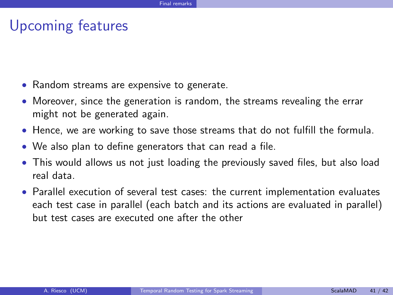#### Upcoming features

- Random streams are expensive to generate.
- Moreover, since the generation is random, the streams revealing the errar might not be generated again.
- Hence, we are working to save those streams that do not fulfill the formula.
- We also plan to define generators that can read a file.
- This would allows us not just loading the previously saved files, but also load real data.
- <span id="page-40-0"></span>• Parallel execution of several test cases: the current implementation evaluates each test case in parallel (each batch and its actions are evaluated in parallel) but test cases are executed one after the other